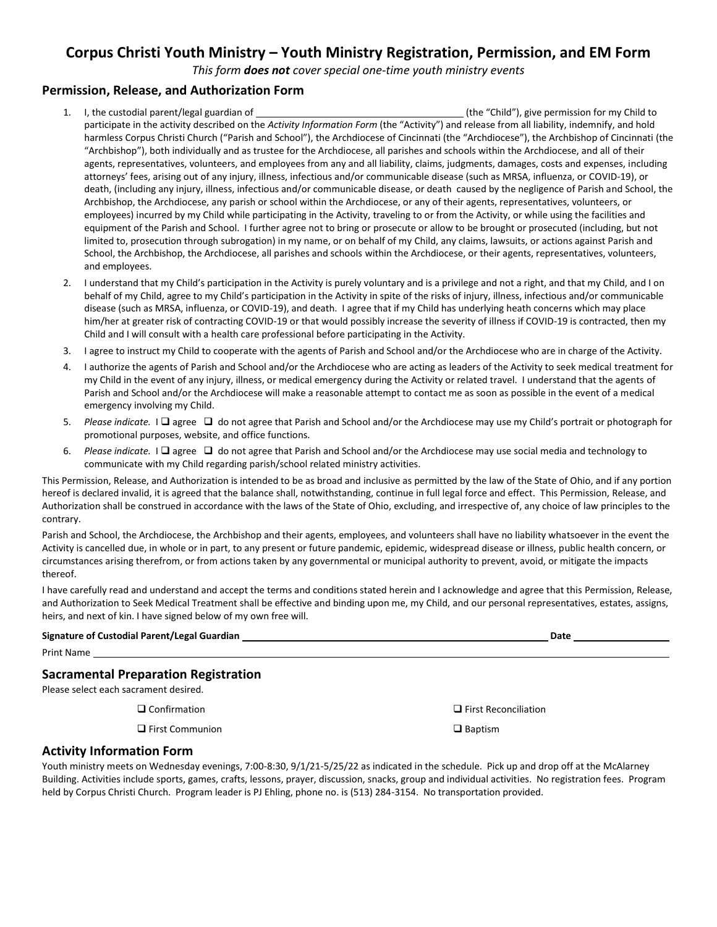# **Corpus Christi Youth Ministry – Youth Ministry Registration, Permission, and EM Form**

*This form does not cover special one-time youth ministry events*

### **Permission, Release, and Authorization Form**

- 1. I, the custodial parent/legal guardian of  $(1, 1)$  the "Child"), give permission for my Child to participate in the activity described on the *Activity Information Form* (the "Activity") and release from all liability, indemnify, and hold harmless Corpus Christi Church ("Parish and School"), the Archdiocese of Cincinnati (the "Archdiocese"), the Archbishop of Cincinnati (the "Archbishop"), both individually and as trustee for the Archdiocese, all parishes and schools within the Archdiocese, and all of their agents, representatives, volunteers, and employees from any and all liability, claims, judgments, damages, costs and expenses, including attorneys' fees, arising out of any injury, illness, infectious and/or communicable disease (such as MRSA, influenza, or COVID-19), or death, (including any injury, illness, infectious and/or communicable disease, or death caused by the negligence of Parish and School, the Archbishop, the Archdiocese, any parish or school within the Archdiocese, or any of their agents, representatives, volunteers, or employees) incurred by my Child while participating in the Activity, traveling to or from the Activity, or while using the facilities and equipment of the Parish and School. I further agree not to bring or prosecute or allow to be brought or prosecuted (including, but not limited to, prosecution through subrogation) in my name, or on behalf of my Child, any claims, lawsuits, or actions against Parish and School, the Archbishop, the Archdiocese, all parishes and schools within the Archdiocese, or their agents, representatives, volunteers, and employees.
- 2. I understand that my Child's participation in the Activity is purely voluntary and is a privilege and not a right, and that my Child, and I on behalf of my Child, agree to my Child's participation in the Activity in spite of the risks of injury, illness, infectious and/or communicable disease (such as MRSA, influenza, or COVID-19), and death. I agree that if my Child has underlying heath concerns which may place him/her at greater risk of contracting COVID-19 or that would possibly increase the severity of illness if COVID-19 is contracted, then my Child and I will consult with a health care professional before participating in the Activity.
- 3. I agree to instruct my Child to cooperate with the agents of Parish and School and/or the Archdiocese who are in charge of the Activity.
- 4. I authorize the agents of Parish and School and/or the Archdiocese who are acting as leaders of the Activity to seek medical treatment for my Child in the event of any injury, illness, or medical emergency during the Activity or related travel. I understand that the agents of Parish and School and/or the Archdiocese will make a reasonable attempt to contact me as soon as possible in the event of a medical emergency involving my Child.
- 5. *Please indicate.* I ❑ agree ❑ do not agree that Parish and School and/or the Archdiocese may use my Child's portrait or photograph for promotional purposes, website, and office functions.
- 6. *Please indicate.* I ❑ agree ❑ do not agree that Parish and School and/or the Archdiocese may use social media and technology to communicate with my Child regarding parish/school related ministry activities.

This Permission, Release, and Authorization is intended to be as broad and inclusive as permitted by the law of the State of Ohio, and if any portion hereof is declared invalid, it is agreed that the balance shall, notwithstanding, continue in full legal force and effect. This Permission, Release, and Authorization shall be construed in accordance with the laws of the State of Ohio, excluding, and irrespective of, any choice of law principles to the contrary.

Parish and School, the Archdiocese, the Archbishop and their agents, employees, and volunteers shall have no liability whatsoever in the event the Activity is cancelled due, in whole or in part, to any present or future pandemic, epidemic, widespread disease or illness, public health concern, or circumstances arising therefrom, or from actions taken by any governmental or municipal authority to prevent, avoid, or mitigate the impacts thereof.

I have carefully read and understand and accept the terms and conditions stated herein and I acknowledge and agree that this Permission, Release, and Authorization to Seek Medical Treatment shall be effective and binding upon me, my Child, and our personal representatives, estates, assigns, heirs, and next of kin. I have signed below of my own free will.

| Signature of Custodial Parent/Legal Guardian | Date |
|----------------------------------------------|------|
| <b>Print Name</b>                            |      |

### **Sacramental Preparation Registration**

Please select each sacrament desired.

❑ First Communion ❑ Baptism

❑ Confirmation ❑ First Reconciliation

#### **Activity Information Form**

Youth ministry meets on Wednesday evenings, 7:00-8:30, 9/1/21-5/25/22 as indicated in the schedule. Pick up and drop off at the McAlarney Building. Activities include sports, games, crafts, lessons, prayer, discussion, snacks, group and individual activities. No registration fees. Program held by Corpus Christi Church. Program leader is PJ Ehling, phone no. is (513) 284-3154. No transportation provided.